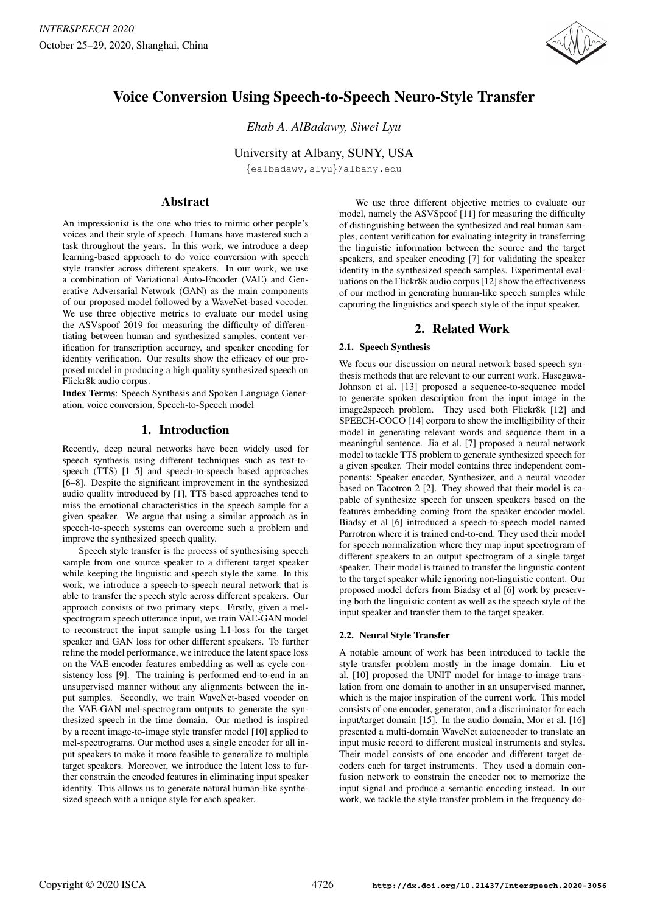

# Voice Conversion Using Speech-to-Speech Neuro-Style Transfer

*Ehab A. AlBadawy, Siwei Lyu*

University at Albany, SUNY, USA

{ealbadawy,slyu}@albany.edu

# Abstract

An impressionist is the one who tries to mimic other people's voices and their style of speech. Humans have mastered such a task throughout the years. In this work, we introduce a deep learning-based approach to do voice conversion with speech style transfer across different speakers. In our work, we use a combination of Variational Auto-Encoder (VAE) and Generative Adversarial Network (GAN) as the main components of our proposed model followed by a WaveNet-based vocoder. We use three objective metrics to evaluate our model using the ASVspoof 2019 for measuring the difficulty of differentiating between human and synthesized samples, content verification for transcription accuracy, and speaker encoding for identity verification. Our results show the efficacy of our proposed model in producing a high quality synthesized speech on Flickr8k audio corpus.

Index Terms: Speech Synthesis and Spoken Language Generation, voice conversion, Speech-to-Speech model

## 1. Introduction

Recently, deep neural networks have been widely used for speech synthesis using different techniques such as text-tospeech (TTS) [1–5] and speech-to-speech based approaches [6–8]. Despite the significant improvement in the synthesized audio quality introduced by [1], TTS based approaches tend to miss the emotional characteristics in the speech sample for a given speaker. We argue that using a similar approach as in speech-to-speech systems can overcome such a problem and improve the synthesized speech quality.

Speech style transfer is the process of synthesising speech sample from one source speaker to a different target speaker while keeping the linguistic and speech style the same. In this work, we introduce a speech-to-speech neural network that is able to transfer the speech style across different speakers. Our approach consists of two primary steps. Firstly, given a melspectrogram speech utterance input, we train VAE-GAN model to reconstruct the input sample using L1-loss for the target speaker and GAN loss for other different speakers. To further refine the model performance, we introduce the latent space loss on the VAE encoder features embedding as well as cycle consistency loss [9]. The training is performed end-to-end in an unsupervised manner without any alignments between the input samples. Secondly, we train WaveNet-based vocoder on the VAE-GAN mel-spectrogram outputs to generate the synthesized speech in the time domain. Our method is inspired by a recent image-to-image style transfer model [10] applied to mel-spectrograms. Our method uses a single encoder for all input speakers to make it more feasible to generalize to multiple target speakers. Moreover, we introduce the latent loss to further constrain the encoded features in eliminating input speaker identity. This allows us to generate natural human-like synthesized speech with a unique style for each speaker.

We use three different objective metrics to evaluate our model, namely the ASVSpoof [11] for measuring the difficulty of distinguishing between the synthesized and real human samples, content verification for evaluating integrity in transferring the linguistic information between the source and the target speakers, and speaker encoding [7] for validating the speaker identity in the synthesized speech samples. Experimental evaluations on the Flickr8k audio corpus [12] show the effectiveness of our method in generating human-like speech samples while capturing the linguistics and speech style of the input speaker.

# 2. Related Work

## 2.1. Speech Synthesis

We focus our discussion on neural network based speech synthesis methods that are relevant to our current work. Hasegawa-Johnson et al. [13] proposed a sequence-to-sequence model to generate spoken description from the input image in the image2speech problem. They used both Flickr8k [12] and SPEECH-COCO [14] corpora to show the intelligibility of their model in generating relevant words and sequence them in a meaningful sentence. Jia et al. [7] proposed a neural network model to tackle TTS problem to generate synthesized speech for a given speaker. Their model contains three independent components; Speaker encoder, Synthesizer, and a neural vocoder based on Tacotron 2 [2]. They showed that their model is capable of synthesize speech for unseen speakers based on the features embedding coming from the speaker encoder model. Biadsy et al [6] introduced a speech-to-speech model named Parrotron where it is trained end-to-end. They used their model for speech normalization where they map input spectrogram of different speakers to an output spectrogram of a single target speaker. Their model is trained to transfer the linguistic content to the target speaker while ignoring non-linguistic content. Our proposed model defers from Biadsy et al [6] work by preserving both the linguistic content as well as the speech style of the input speaker and transfer them to the target speaker.

#### 2.2. Neural Style Transfer

A notable amount of work has been introduced to tackle the style transfer problem mostly in the image domain. Liu et al. [10] proposed the UNIT model for image-to-image translation from one domain to another in an unsupervised manner, which is the major inspiration of the current work. This model consists of one encoder, generator, and a discriminator for each input/target domain [15]. In the audio domain, Mor et al. [16] presented a multi-domain WaveNet autoencoder to translate an input music record to different musical instruments and styles. Their model consists of one encoder and different target decoders each for target instruments. They used a domain confusion network to constrain the encoder not to memorize the input signal and produce a semantic encoding instead. In our work, we tackle the style transfer problem in the frequency do-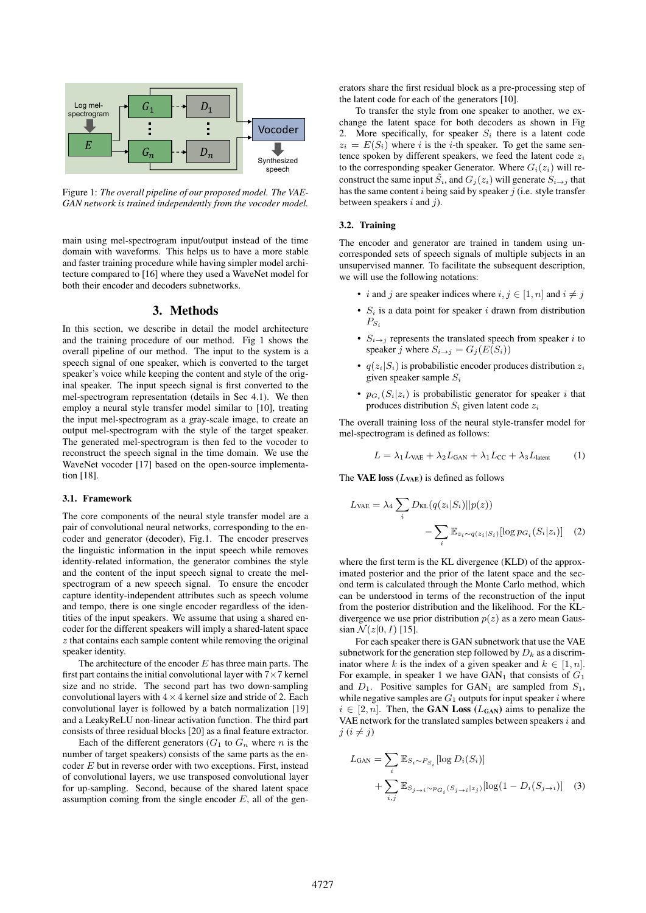

Figure 1: *The overall pipeline of our proposed model. The VAE-GAN network is trained independently from the vocoder model.*

main using mel-spectrogram input/output instead of the time domain with waveforms. This helps us to have a more stable and faster training procedure while having simpler model architecture compared to [16] where they used a WaveNet model for both their encoder and decoders subnetworks.

## 3. Methods

In this section, we describe in detail the model architecture and the training procedure of our method. Fig 1 shows the overall pipeline of our method. The input to the system is a speech signal of one speaker, which is converted to the target speaker's voice while keeping the content and style of the original speaker. The input speech signal is first converted to the mel-spectrogram representation (details in Sec 4.1). We then employ a neural style transfer model similar to [10], treating the input mel-spectrogram as a gray-scale image, to create an output mel-spectrogram with the style of the target speaker. The generated mel-spectrogram is then fed to the vocoder to reconstruct the speech signal in the time domain. We use the WaveNet vocoder [17] based on the open-source implementation [18].

#### 3.1. Framework

The core components of the neural style transfer model are a pair of convolutional neural networks, corresponding to the encoder and generator (decoder), Fig.1. The encoder preserves the linguistic information in the input speech while removes identity-related information, the generator combines the style and the content of the input speech signal to create the melspectrogram of a new speech signal. To ensure the encoder capture identity-independent attributes such as speech volume and tempo, there is one single encoder regardless of the identities of the input speakers. We assume that using a shared encoder for the different speakers will imply a shared-latent space  $z$  that contains each sample content while removing the original speaker identity.

The architecture of the encoder  $E$  has three main parts. The first part contains the initial convolutional layer with  $7 \times 7$  kernel size and no stride. The second part has two down-sampling convolutional layers with  $4 \times 4$  kernel size and stride of 2. Each convolutional layer is followed by a batch normalization [19] and a LeakyReLU non-linear activation function. The third part consists of three residual blocks [20] as a final feature extractor.

Each of the different generators  $(G_1$  to  $G_n$  where n is the number of target speakers) consists of the same parts as the encoder  $E$  but in reverse order with two exceptions. First, instead of convolutional layers, we use transposed convolutional layer for up-sampling. Second, because of the shared latent space assumption coming from the single encoder  $E$ , all of the generators share the first residual block as a pre-processing step of the latent code for each of the generators [10].

To transfer the style from one speaker to another, we exchange the latent space for both decoders as shown in Fig 2. More specifically, for speaker  $S_i$  there is a latent code  $z_i = E(S_i)$  where i is the i-th speaker. To get the same sentence spoken by different speakers, we feed the latent code  $z_i$ to the corresponding speaker Generator. Where  $G_i(z_i)$  will reconstruct the same input  $\tilde{S}_i$ , and  $G_i(z_i)$  will generate  $S_{i\rightarrow j}$  that has the same content  $i$  being said by speaker  $j$  (i.e. style transfer between speakers  $i$  and  $j$ ).

#### 3.2. Training

The encoder and generator are trained in tandem using uncorresponded sets of speech signals of multiple subjects in an unsupervised manner. To facilitate the subsequent description, we will use the following notations:

- *i* and *j* are speaker indices where  $i, j \in [1, n]$  and  $i \neq j$
- $S_i$  is a data point for speaker i drawn from distribution  $P_{S_i}$
- $S_{i\rightarrow j}$  represents the translated speech from speaker i to speaker j where  $S_{i\rightarrow j} = G_j(E(S_i))$
- $q(z_i|S_i)$  is probabilistic encoder produces distribution  $z_i$ given speaker sample  $S_i$
- $p_{G_i}(S_i|z_i)$  is probabilistic generator for speaker i that produces distribution  $S_i$  given latent code  $z_i$

The overall training loss of the neural style-transfer model for mel-spectrogram is defined as follows:

$$
L = \lambda_1 L_{\text{VAE}} + \lambda_2 L_{\text{GAN}} + \lambda_1 L_{\text{CC}} + \lambda_3 L_{\text{latent}} \tag{1}
$$

The VAE loss  $(L<sub>VAE</sub>)$  is defined as follows

$$
L_{\text{VAE}} = \lambda_4 \sum_{i} D_{\text{KL}}(q(z_i|S_i)||p(z)) - \sum_{i} \mathbb{E}_{z_i \sim q(z_i|S_i)}[\log p_{G_i}(S_i|z_i)] \quad (2)
$$

where the first term is the KL divergence (KLD) of the approximated posterior and the prior of the latent space and the second term is calculated through the Monte Carlo method, which can be understood in terms of the reconstruction of the input from the posterior distribution and the likelihood. For the KLdivergence we use prior distribution  $p(z)$  as a zero mean Gaussian  $\mathcal{N}(z|0, I)$  [15].

For each speaker there is GAN subnetwork that use the VAE subnetwork for the generation step followed by  $D_k$  as a discriminator where k is the index of a given speaker and  $k \in [1, n]$ . For example, in speaker 1 we have  $GAN_1$  that consists of  $G_1$ and  $D_1$ . Positive samples for  $GAN_1$  are sampled from  $S_1$ , while negative samples are  $G_1$  outputs for input speaker i where  $i \in [2, n]$ . Then, the GAN Loss ( $L_{GAN}$ ) aims to penalize the VAE network for the translated samples between speakers  $i$  and  $j$   $(i \neq j)$ 

$$
L_{\text{GAN}} = \sum_{i} \mathbb{E}_{S_i \sim P_{S_i}} [\log D_i(S_i)] + \sum_{i,j} \mathbb{E}_{S_j \to i \sim p_{G_i}(S_j \to i | z_j)} [\log(1 - D_i(S_{j \to i})] \quad (3)
$$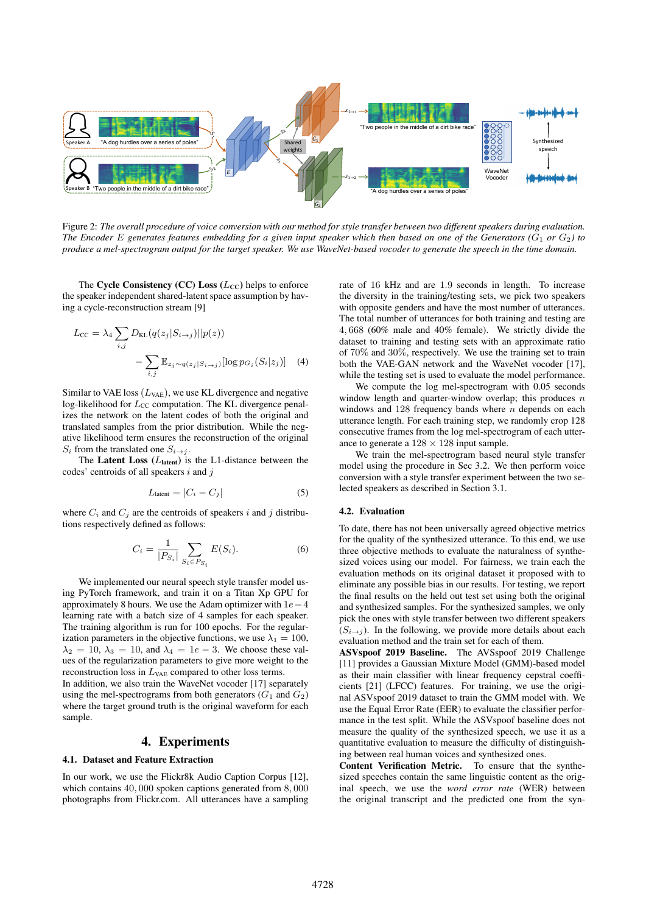

Figure 2: *The overall procedure of voice conversion with our method for style transfer between two different speakers during evaluation. The Encoder E generates features embedding for a given input speaker which then based on one of the Generators (* $G_1$  *or*  $G_2$ *) to produce a mel-spectrogram output for the target speaker. We use WaveNet-based vocoder to generate the speech in the time domain.*

The Cycle Consistency (CC) Loss  $(L_{CC})$  helps to enforce the speaker independent shared-latent space assumption by having a cycle-reconstruction stream [9]

$$
L_{\rm CC} = \lambda_4 \sum_{i,j} D_{\text{KL}}(q(z_j|S_{i\to j})||p(z))
$$

$$
- \sum_{i,j} \mathbb{E}_{z_j \sim q(z_j|S_{i\to j})}[\log p_{G_i}(S_i|z_j)] \quad (4)
$$

Similar to VAE loss  $(L<sub>VAE</sub>)$ , we use KL divergence and negative log-likelihood for  $L_{CC}$  computation. The KL divergence penalizes the network on the latent codes of both the original and translated samples from the prior distribution. While the negative likelihood term ensures the reconstruction of the original  $S_i$  from the translated one  $S_{i\rightarrow j}$ .

The Latent Loss  $(L_{\text{latent}})$  is the L1-distance between the codes' centroids of all speakers  $i$  and  $j$ 

$$
L_{\text{lattent}} = |C_i - C_j| \tag{5}
$$

where  $C_i$  and  $C_j$  are the centroids of speakers i and j distributions respectively defined as follows:

$$
C_i = \frac{1}{|P_{S_i}|} \sum_{S_i \in P_{S_i}} E(S_i).
$$
 (6)

We implemented our neural speech style transfer model using PyTorch framework, and train it on a Titan Xp GPU for approximately 8 hours. We use the Adam optimizer with  $1e-4$ learning rate with a batch size of 4 samples for each speaker. The training algorithm is run for 100 epochs. For the regularization parameters in the objective functions, we use  $\lambda_1 = 100$ ,  $\lambda_2 = 10$ ,  $\lambda_3 = 10$ , and  $\lambda_4 = 1e - 3$ . We choose these values of the regularization parameters to give more weight to the reconstruction loss in  $L_{VAE}$  compared to other loss terms.

In addition, we also train the WaveNet vocoder [17] separately using the mel-spectrograms from both generators  $(G_1 \text{ and } G_2)$ where the target ground truth is the original waveform for each sample.

## 4. Experiments

#### 4.1. Dataset and Feature Extraction

In our work, we use the Flickr8k Audio Caption Corpus [12], which contains 40, 000 spoken captions generated from 8, 000 photographs from Flickr.com. All utterances have a sampling rate of 16 kHz and are 1.9 seconds in length. To increase the diversity in the training/testing sets, we pick two speakers with opposite genders and have the most number of utterances. The total number of utterances for both training and testing are 4, 668 (60% male and 40% female). We strictly divide the dataset to training and testing sets with an approximate ratio of 70% and 30%, respectively. We use the training set to train both the VAE-GAN network and the WaveNet vocoder [17], while the testing set is used to evaluate the model performance.

We compute the log mel-spectrogram with 0.05 seconds window length and quarter-window overlap; this produces  $n$ windows and  $128$  frequency bands where  $n$  depends on each utterance length. For each training step, we randomly crop 128 consecutive frames from the log mel-spectrogram of each utterance to generate a  $128 \times 128$  input sample.

We train the mel-spectrogram based neural style transfer model using the procedure in Sec 3.2. We then perform voice conversion with a style transfer experiment between the two selected speakers as described in Section 3.1.

#### 4.2. Evaluation

To date, there has not been universally agreed objective metrics for the quality of the synthesized utterance. To this end, we use three objective methods to evaluate the naturalness of synthesized voices using our model. For fairness, we train each the evaluation methods on its original dataset it proposed with to eliminate any possible bias in our results. For testing, we report the final results on the held out test set using both the original and synthesized samples. For the synthesized samples, we only pick the ones with style transfer between two different speakers  $(S_{i\rightarrow j})$ . In the following, we provide more details about each evaluation method and the train set for each of them.

ASVspoof 2019 Baseline. The AVSspoof 2019 Challenge [11] provides a Gaussian Mixture Model (GMM)-based model as their main classifier with linear frequency cepstral coefficients [21] (LFCC) features. For training, we use the original ASVspoof 2019 dataset to train the GMM model with. We use the Equal Error Rate (EER) to evaluate the classifier performance in the test split. While the ASVspoof baseline does not measure the quality of the synthesized speech, we use it as a quantitative evaluation to measure the difficulty of distinguishing between real human voices and synthesized ones.

Content Verification Metric. To ensure that the synthesized speeches contain the same linguistic content as the original speech, we use the *word error rate* (WER) between the original transcript and the predicted one from the syn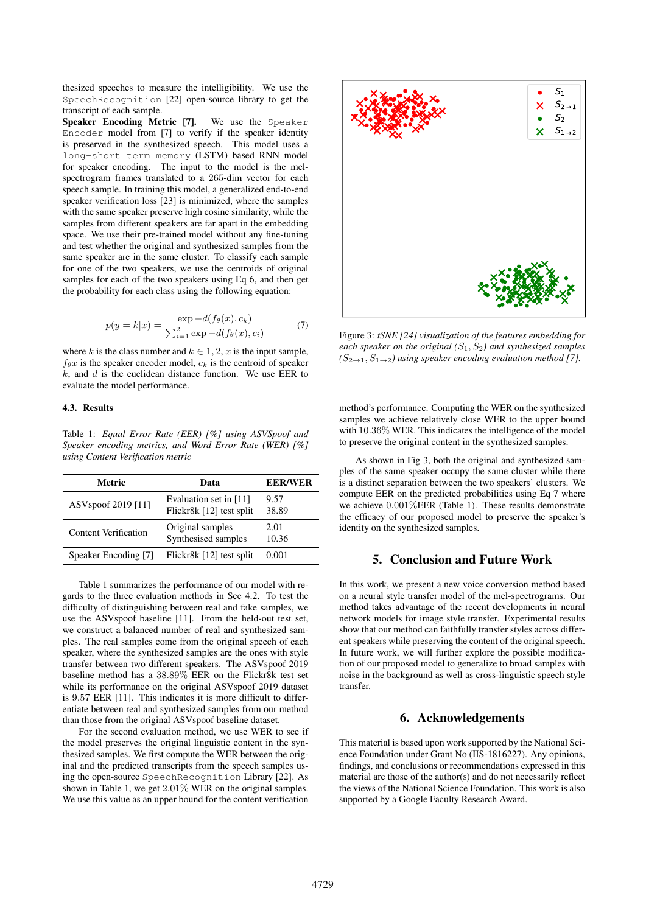thesized speeches to measure the intelligibility. We use the SpeechRecognition [22] open-source library to get the transcript of each sample.

Speaker Encoding Metric [7]. We use the Speaker Encoder model from [7] to verify if the speaker identity is preserved in the synthesized speech. This model uses a long-short term memory (LSTM) based RNN model for speaker encoding. The input to the model is the melspectrogram frames translated to a 265-dim vector for each speech sample. In training this model, a generalized end-to-end speaker verification loss [23] is minimized, where the samples with the same speaker preserve high cosine similarity, while the samples from different speakers are far apart in the embedding space. We use their pre-trained model without any fine-tuning and test whether the original and synthesized samples from the same speaker are in the same cluster. To classify each sample for one of the two speakers, we use the centroids of original samples for each of the two speakers using Eq 6, and then get the probability for each class using the following equation:

$$
p(y = k|x) = \frac{\exp -d(f_{\theta}(x), c_k)}{\sum_{i=1}^{2} \exp -d(f_{\theta}(x), c_i)}
$$
(7)

where k is the class number and  $k \in 1, 2, x$  is the input sample,  $f_{\theta}x$  is the speaker encoder model,  $c_k$  is the centroid of speaker  $k$ , and  $d$  is the euclidean distance function. We use EER to evaluate the model performance.

#### 4.3. Results

Table 1: *Equal Error Rate (EER) [%] using ASVSpoof and Speaker encoding metrics, and Word Error Rate (WER) [%] using Content Verification metric*

| Metric                         | Data                                               | <b>EER/WER</b> |
|--------------------------------|----------------------------------------------------|----------------|
| ASV <sub>spoof</sub> 2019 [11] | Evaluation set in [11]<br>Flickr8k [12] test split | 9.57<br>38.89  |
| <b>Content Verification</b>    | Original samples<br>Synthesised samples            | 2.01<br>10.36  |
| Speaker Encoding [7]           | Flickr8k [12] test split                           | 0.001          |

Table 1 summarizes the performance of our model with regards to the three evaluation methods in Sec 4.2. To test the difficulty of distinguishing between real and fake samples, we use the ASVspoof baseline [11]. From the held-out test set, we construct a balanced number of real and synthesized samples. The real samples come from the original speech of each speaker, where the synthesized samples are the ones with style transfer between two different speakers. The ASVspoof 2019 baseline method has a 38.89% EER on the Flickr8k test set while its performance on the original ASVspoof 2019 dataset is 9.57 EER [11]. This indicates it is more difficult to differentiate between real and synthesized samples from our method than those from the original ASVspoof baseline dataset.

For the second evaluation method, we use WER to see if the model preserves the original linguistic content in the synthesized samples. We first compute the WER between the original and the predicted transcripts from the speech samples using the open-source SpeechRecognition Library [22]. As shown in Table 1, we get 2.01% WER on the original samples. We use this value as an upper bound for the content verification



Figure 3: *tSNE [24] visualization of the features embedding for each speaker on the original (*S1, S2*) and synthesized samples*  $(S_{2\rightarrow 1}, S_{1\rightarrow 2})$  using speaker encoding evaluation method [7].

method's performance. Computing the WER on the synthesized samples we achieve relatively close WER to the upper bound with 10.36% WER. This indicates the intelligence of the model to preserve the original content in the synthesized samples.

As shown in Fig 3, both the original and synthesized samples of the same speaker occupy the same cluster while there is a distinct separation between the two speakers' clusters. We compute EER on the predicted probabilities using Eq 7 where we achieve 0.001%EER (Table 1). These results demonstrate the efficacy of our proposed model to preserve the speaker's identity on the synthesized samples.

## 5. Conclusion and Future Work

In this work, we present a new voice conversion method based on a neural style transfer model of the mel-spectrograms. Our method takes advantage of the recent developments in neural network models for image style transfer. Experimental results show that our method can faithfully transfer styles across different speakers while preserving the content of the original speech. In future work, we will further explore the possible modification of our proposed model to generalize to broad samples with noise in the background as well as cross-linguistic speech style transfer.

#### 6. Acknowledgements

This material is based upon work supported by the National Science Foundation under Grant No (IIS-1816227). Any opinions, findings, and conclusions or recommendations expressed in this material are those of the author(s) and do not necessarily reflect the views of the National Science Foundation. This work is also supported by a Google Faculty Research Award.